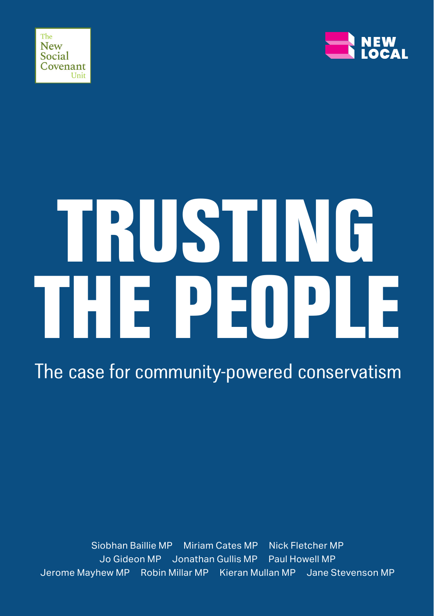



# TRUSTING THE PEOPLE

The case for community-powered conservatism

Siobhan Baillie MP Miriam Cates MP Nick Fletcher MP Jo Gideon MP Jonathan Gullis MP Paul Howell MP Jerome Mayhew MP Robin Millar MP Kieran Mullan MP Jane Stevenson MP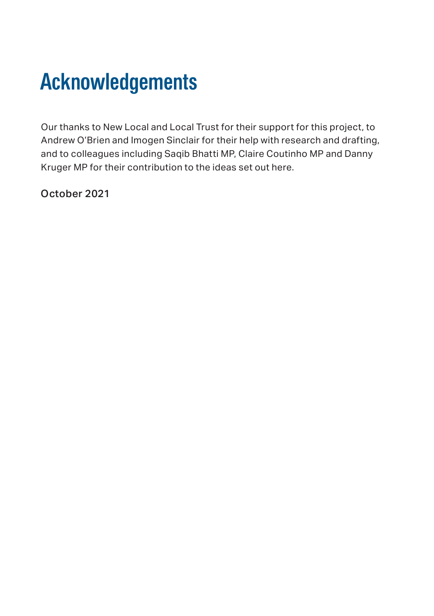# Acknowledgements

Our thanks to New Local and Local Trust for their support for this project, to Andrew O'Brien and Imogen Sinclair for their help with research and drafting, and to colleagues including Saqib Bhatti MP, Claire Coutinho MP and Danny Kruger MP for their contribution to the ideas set out here.

October 2021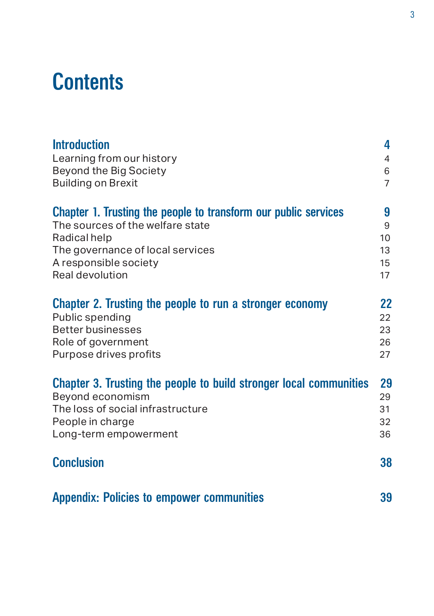# **Contents**

| <b>Appendix: Policies to empower communities</b>                                       |                |
|----------------------------------------------------------------------------------------|----------------|
| <b>Conclusion</b>                                                                      | 38             |
| Long-term empowerment                                                                  | 36             |
| People in charge                                                                       | 32             |
| The loss of social infrastructure                                                      | 31             |
| Chapter 3. Trusting the people to build stronger local communities<br>Beyond economism | 29<br>29       |
| Purpose drives profits                                                                 | 27             |
| Role of government                                                                     | 26             |
| <b>Better businesses</b>                                                               | 23             |
| Public spending                                                                        | 22             |
| Chapter 2. Trusting the people to run a stronger economy                               | 22             |
| Real devolution                                                                        | 17             |
| A responsible society                                                                  | 15             |
| The governance of local services                                                       | 13             |
| Radical help                                                                           | 10             |
| The sources of the welfare state                                                       | 9              |
| Chapter 1. Trusting the people to transform our public services                        | 9              |
| <b>Building on Brexit</b>                                                              | $\overline{7}$ |
| Beyond the Big Society                                                                 | 6              |
| Learning from our history                                                              | $\overline{4}$ |
| <b>Introduction</b>                                                                    | 4              |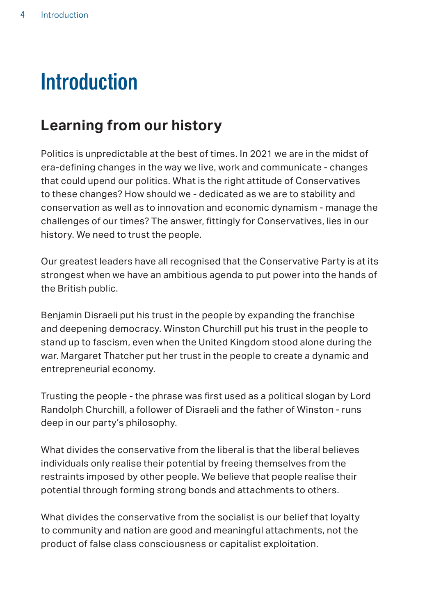# <span id="page-3-0"></span>**Introduction**

## **Learning from our history**

Politics is unpredictable at the best of times. In 2021 we are in the midst of era-defining changes in the way we live, work and communicate - changes that could upend our politics. What is the right attitude of Conservatives to these changes? How should we - dedicated as we are to stability and conservation as well as to innovation and economic dynamism - manage the challenges of our times? The answer, fittingly for Conservatives, lies in our history. We need to trust the people.

Our greatest leaders have all recognised that the Conservative Party is at its strongest when we have an ambitious agenda to put power into the hands of the British public.

Benjamin Disraeli put his trust in the people by expanding the franchise and deepening democracy. Winston Churchill put his trust in the people to stand up to fascism, even when the United Kingdom stood alone during the war. Margaret Thatcher put her trust in the people to create a dynamic and entrepreneurial economy.

Trusting the people - the phrase was first used as a political slogan by Lord Randolph Churchill, a follower of Disraeli and the father of Winston - runs deep in our party's philosophy.

What divides the conservative from the liberal is that the liberal believes individuals only realise their potential by freeing themselves from the restraints imposed by other people. We believe that people realise their potential through forming strong bonds and attachments to others.

What divides the conservative from the socialist is our belief that loyalty to community and nation are good and meaningful attachments, not the product of false class consciousness or capitalist exploitation.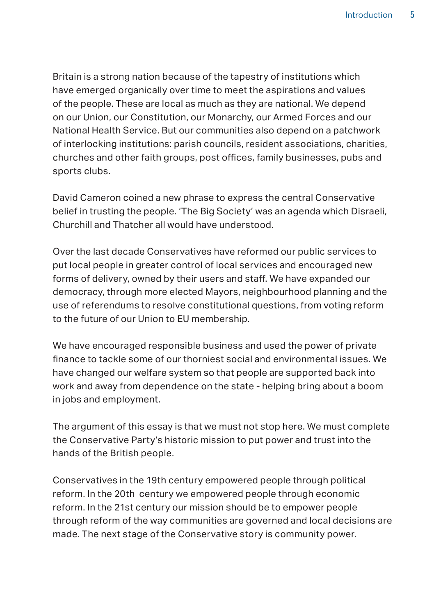Britain is a strong nation because of the tapestry of institutions which have emerged organically over time to meet the aspirations and values of the people. These are local as much as they are national. We depend on our Union, our Constitution, our Monarchy, our Armed Forces and our National Health Service. But our communities also depend on a patchwork of interlocking institutions: parish councils, resident associations, charities, churches and other faith groups, post offices, family businesses, pubs and sports clubs.

David Cameron coined a new phrase to express the central Conservative belief in trusting the people. 'The Big Society' was an agenda which Disraeli, Churchill and Thatcher all would have understood.

Over the last decade Conservatives have reformed our public services to put local people in greater control of local services and encouraged new forms of delivery, owned by their users and staff. We have expanded our democracy, through more elected Mayors, neighbourhood planning and the use of referendums to resolve constitutional questions, from voting reform to the future of our Union to EU membership.

We have encouraged responsible business and used the power of private finance to tackle some of our thorniest social and environmental issues. We have changed our welfare system so that people are supported back into work and away from dependence on the state - helping bring about a boom in jobs and employment.

The argument of this essay is that we must not stop here. We must complete the Conservative Party's historic mission to put power and trust into the hands of the British people.

Conservatives in the 19th century empowered people through political reform. In the 20th century we empowered people through economic reform. In the 21st century our mission should be to empower people through reform of the way communities are governed and local decisions are made. The next stage of the Conservative story is community power.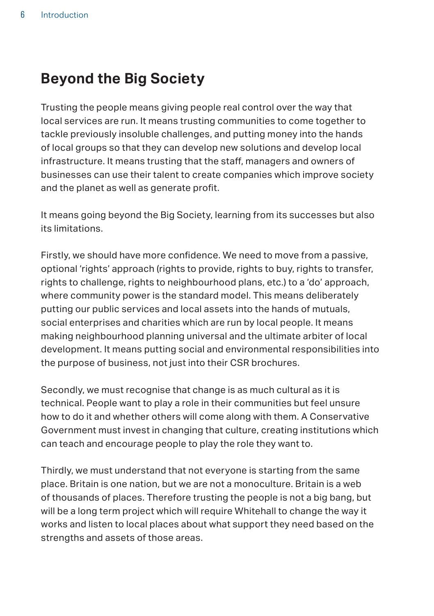#### <span id="page-5-0"></span>**Beyond the Big Society**

Trusting the people means giving people real control over the way that local services are run. It means trusting communities to come together to tackle previously insoluble challenges, and putting money into the hands of local groups so that they can develop new solutions and develop local infrastructure. It means trusting that the staff, managers and owners of businesses can use their talent to create companies which improve society and the planet as well as generate profit.

It means going beyond the Big Society, learning from its successes but also its limitations.

Firstly, we should have more confidence. We need to move from a passive, optional 'rights' approach (rights to provide, rights to buy, rights to transfer, rights to challenge, rights to neighbourhood plans, etc.) to a 'do' approach, where community power is the standard model. This means deliberately putting our public services and local assets into the hands of mutuals, social enterprises and charities which are run by local people. It means making neighbourhood planning universal and the ultimate arbiter of local development. It means putting social and environmental responsibilities into the purpose of business, not just into their CSR brochures.

Secondly, we must recognise that change is as much cultural as it is technical. People want to play a role in their communities but feel unsure how to do it and whether others will come along with them. A Conservative Government must invest in changing that culture, creating institutions which can teach and encourage people to play the role they want to.

Thirdly, we must understand that not everyone is starting from the same place. Britain is one nation, but we are not a monoculture. Britain is a web of thousands of places. Therefore trusting the people is not a big bang, but will be a long term project which will require Whitehall to change the way it works and listen to local places about what support they need based on the strengths and assets of those areas.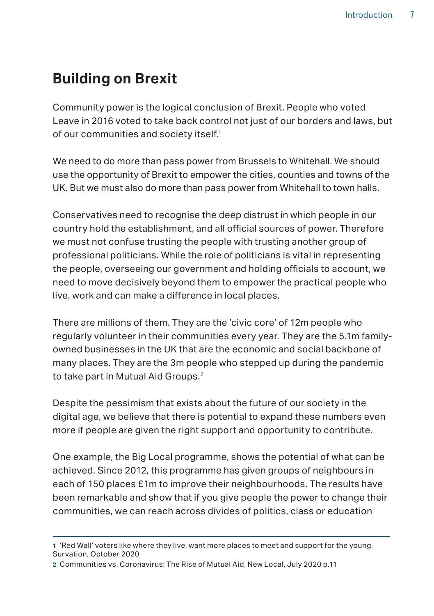## <span id="page-6-0"></span>**Building on Brexit**

Community power is the logical conclusion of Brexit. People who voted Leave in 2016 voted to take back control not just of our borders and laws, but of our communities and society itself.<sup>1</sup>

We need to do more than pass power from Brussels to Whitehall. We should use the opportunity of Brexit to empower the cities, counties and towns of the UK. But we must also do more than pass power from Whitehall to town halls.

Conservatives need to recognise the deep distrust in which people in our country hold the establishment, and all official sources of power. Therefore we must not confuse trusting the people with trusting another group of professional politicians. While the role of politicians is vital in representing the people, overseeing our government and holding officials to account, we need to move decisively beyond them to empower the practical people who live, work and can make a difference in local places.

There are millions of them. They are the 'civic core' of 12m people who regularly volunteer in their communities every year. They are the 5.1m familyowned businesses in the UK that are the economic and social backbone of many places. They are the 3m people who stepped up during the pandemic to take part in Mutual Aid Groups.<sup>2</sup>

Despite the pessimism that exists about the future of our society in the digital age, we believe that there is potential to expand these numbers even more if people are given the right support and opportunity to contribute.

One example, the Big Local programme, shows the potential of what can be achieved. Since 2012, this programme has given groups of neighbours in each of 150 places £1m to improve their neighbourhoods. The results have been remarkable and show that if you give people the power to change their communities, we can reach across divides of politics, class or education

<sup>1</sup> 'Red Wall' voters like where they live, want more places to meet and support for the young, Survation, October 2020

<sup>2</sup> Communities vs. Coronavirus: The Rise of Mutual Aid, New Local, July 2020 p.11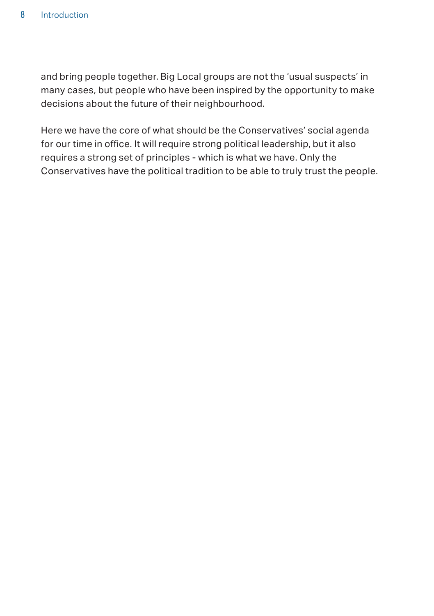and bring people together. Big Local groups are not the 'usual suspects' in many cases, but people who have been inspired by the opportunity to make decisions about the future of their neighbourhood.

Here we have the core of what should be the Conservatives' social agenda for our time in office. It will require strong political leadership, but it also requires a strong set of principles - which is what we have. Only the Conservatives have the political tradition to be able to truly trust the people.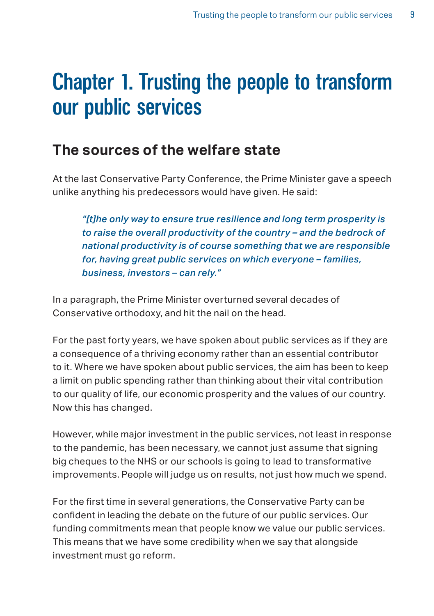## <span id="page-8-0"></span>Chapter 1. Trusting the people to transform our public services

## **The sources of the welfare state**

At the last Conservative Party Conference, the Prime Minister gave a speech unlike anything his predecessors would have given. He said:

*"[t]he only way to ensure true resilience and long term prosperity is to raise the overall productivity of the country – and the bedrock of national productivity is of course something that we are responsible for, having great public services on which everyone – families, business, investors – can rely."*

In a paragraph, the Prime Minister overturned several decades of Conservative orthodoxy, and hit the nail on the head.

For the past forty years, we have spoken about public services as if they are a consequence of a thriving economy rather than an essential contributor to it. Where we have spoken about public services, the aim has been to keep a limit on public spending rather than thinking about their vital contribution to our quality of life, our economic prosperity and the values of our country. Now this has changed.

However, while major investment in the public services, not least in response to the pandemic, has been necessary, we cannot just assume that signing big cheques to the NHS or our schools is going to lead to transformative improvements. People will judge us on results, not just how much we spend.

For the first time in several generations, the Conservative Party can be confident in leading the debate on the future of our public services. Our funding commitments mean that people know we value our public services. This means that we have some credibility when we say that alongside investment must go reform.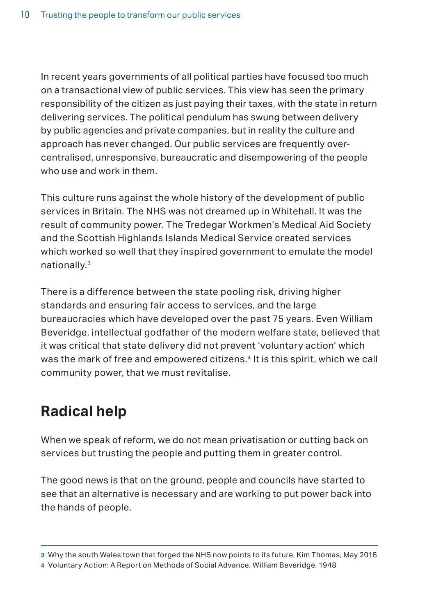<span id="page-9-0"></span>In recent years governments of all political parties have focused too much on a transactional view of public services. This view has seen the primary responsibility of the citizen as just paying their taxes, with the state in return delivering services. The political pendulum has swung between delivery by public agencies and private companies, but in reality the culture and approach has never changed. Our public services are frequently overcentralised, unresponsive, bureaucratic and disempowering of the people who use and work in them.

This culture runs against the whole history of the development of public services in Britain. The NHS was not dreamed up in Whitehall. It was the result of community power. The Tredegar Workmen's Medical Aid Society and the Scottish Highlands Islands Medical Service created services which worked so well that they inspired government to emulate the model nationally.3

There is a difference between the state pooling risk, driving higher standards and ensuring fair access to services, and the large bureaucracies which have developed over the past 75 years. Even William Beveridge, intellectual godfather of the modern welfare state, believed that it was critical that state delivery did not prevent 'voluntary action' which was the mark of free and empowered citizens.<sup>4</sup> It is this spirit, which we call community power, that we must revitalise.

## **Radical help**

When we speak of reform, we do not mean privatisation or cutting back on services but trusting the people and putting them in greater control.

The good news is that on the ground, people and councils have started to see that an alternative is necessary and are working to put power back into the hands of people.

<sup>3</sup> Why the south Wales town that forged the NHS now points to its future, Kim Thomas, May 2018

<sup>4</sup> Voluntary Action: A Report on Methods of Social Advance, William Beveridge, 1948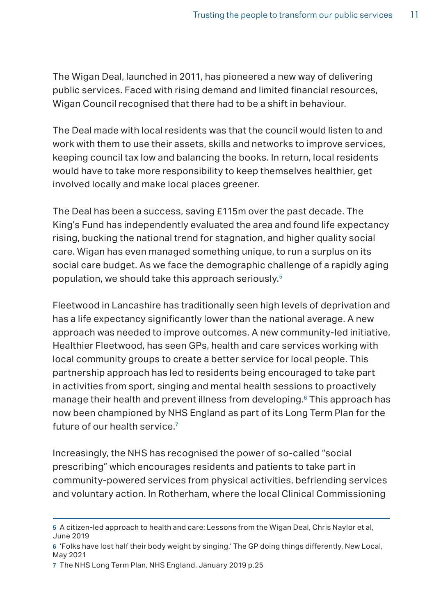The Wigan Deal, launched in 2011, has pioneered a new way of delivering public services. Faced with rising demand and limited financial resources, Wigan Council recognised that there had to be a shift in behaviour.

The Deal made with local residents was that the council would listen to and work with them to use their assets, skills and networks to improve services, keeping council tax low and balancing the books. In return, local residents would have to take more responsibility to keep themselves healthier, get involved locally and make local places greener.

The Deal has been a success, saving £115m over the past decade. The King's Fund has independently evaluated the area and found life expectancy rising, bucking the national trend for stagnation, and higher quality social care. Wigan has even managed something unique, to run a surplus on its social care budget. As we face the demographic challenge of a rapidly aging population, we should take this approach seriously.5

Fleetwood in Lancashire has traditionally seen high levels of deprivation and has a life expectancy significantly lower than the national average. A new approach was needed to improve outcomes. A new community-led initiative, Healthier Fleetwood, has seen GPs, health and care services working with local community groups to create a better service for local people. This partnership approach has led to residents being encouraged to take part in activities from sport, singing and mental health sessions to proactively manage their health and prevent illness from developing.6 This approach has now been championed by NHS England as part of its Long Term Plan for the future of our health service.<sup>7</sup>

Increasingly, the NHS has recognised the power of so-called "social prescribing" which encourages residents and patients to take part in community-powered services from physical activities, befriending services and voluntary action. In Rotherham, where the local Clinical Commissioning

<sup>5</sup> A citizen-led approach to health and care: Lessons from the Wigan Deal, Chris Naylor et al, June 2019

<sup>6</sup> 'Folks have lost half their body weight by singing.' The GP doing things differently, New Local, May 2021

<sup>7</sup> The NHS Long Term Plan, NHS England, January 2019 p.25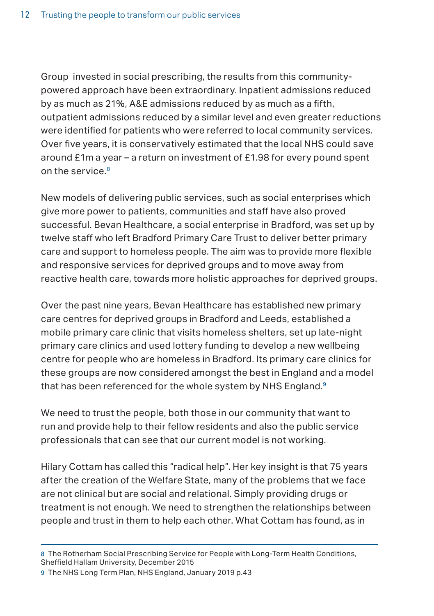Group invested in social prescribing, the results from this communitypowered approach have been extraordinary. Inpatient admissions reduced by as much as 21%, A&E admissions reduced by as much as a fifth, outpatient admissions reduced by a similar level and even greater reductions were identified for patients who were referred to local community services. Over five years, it is conservatively estimated that the local NHS could save around £1m a year – a return on investment of £1.98 for every pound spent on the service  $8$ 

New models of delivering public services, such as social enterprises which give more power to patients, communities and staff have also proved successful. Bevan Healthcare, a social enterprise in Bradford, was set up by twelve staff who left Bradford Primary Care Trust to deliver better primary care and support to homeless people. The aim was to provide more flexible and responsive services for deprived groups and to move away from reactive health care, towards more holistic approaches for deprived groups.

Over the past nine years, Bevan Healthcare has established new primary care centres for deprived groups in Bradford and Leeds, established a mobile primary care clinic that visits homeless shelters, set up late-night primary care clinics and used lottery funding to develop a new wellbeing centre for people who are homeless in Bradford. Its primary care clinics for these groups are now considered amongst the best in England and a model that has been referenced for the whole system by NHS England.<sup>9</sup>

We need to trust the people, both those in our community that want to run and provide help to their fellow residents and also the public service professionals that can see that our current model is not working.

Hilary Cottam has called this "radical help". Her key insight is that 75 years after the creation of the Welfare State, many of the problems that we face are not clinical but are social and relational. Simply providing drugs or treatment is not enough. We need to strengthen the relationships between people and trust in them to help each other. What Cottam has found, as in

<sup>8</sup> The Rotherham Social Prescribing Service for People with Long-Term Health Conditions, Sheffield Hallam University, December 2015

<sup>9</sup> The NHS Long Term Plan, NHS England, January 2019 p.43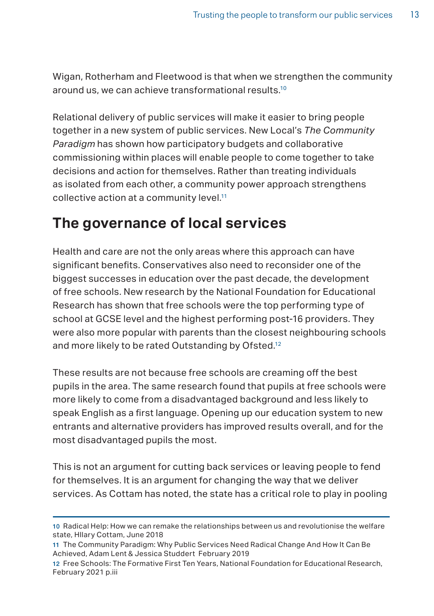<span id="page-12-0"></span>Wigan, Rotherham and Fleetwood is that when we strengthen the community around us, we can achieve transformational results.<sup>10</sup>

Relational delivery of public services will make it easier to bring people together in a new system of public services. New Local's *The Community Paradigm* has shown how participatory budgets and collaborative commissioning within places will enable people to come together to take decisions and action for themselves. Rather than treating individuals as isolated from each other, a community power approach strengthens collective action at a community level.<sup>11</sup>

#### **The governance of local services**

Health and care are not the only areas where this approach can have significant benefits. Conservatives also need to reconsider one of the biggest successes in education over the past decade, the development of free schools. New research by the National Foundation for Educational Research has shown that free schools were the top performing type of school at GCSE level and the highest performing post-16 providers. They were also more popular with parents than the closest neighbouring schools and more likely to be rated Outstanding by Ofsted.<sup>12</sup>

These results are not because free schools are creaming off the best pupils in the area. The same research found that pupils at free schools were more likely to come from a disadvantaged background and less likely to speak English as a first language. Opening up our education system to new entrants and alternative providers has improved results overall, and for the most disadvantaged pupils the most.

This is not an argument for cutting back services or leaving people to fend for themselves. It is an argument for changing the way that we deliver services. As Cottam has noted, the state has a critical role to play in pooling

<sup>10</sup> Radical Help: How we can remake the relationships between us and revolutionise the welfare state, HIlary Cottam, June 2018

<sup>11</sup> The Community Paradigm: Why Public Services Need Radical Change And How It Can Be Achieved, Adam Lent & Jessica Studdert February 2019

<sup>12</sup> Free Schools: The Formative First Ten Years, National Foundation for Educational Research, February 2021 p.iii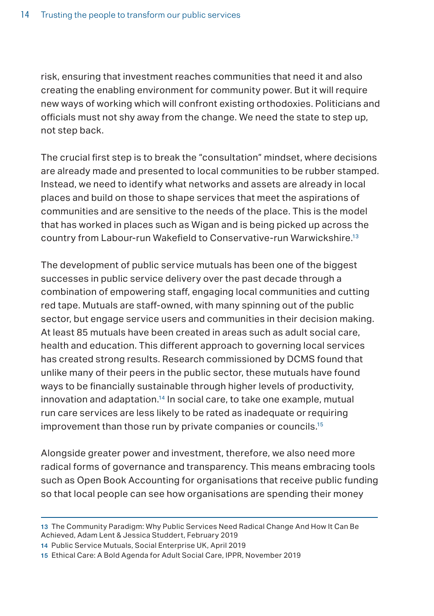risk, ensuring that investment reaches communities that need it and also creating the enabling environment for community power. But it will require new ways of working which will confront existing orthodoxies. Politicians and officials must not shy away from the change. We need the state to step up, not step back.

The crucial first step is to break the "consultation" mindset, where decisions are already made and presented to local communities to be rubber stamped. Instead, we need to identify what networks and assets are already in local places and build on those to shape services that meet the aspirations of communities and are sensitive to the needs of the place. This is the model that has worked in places such as Wigan and is being picked up across the country from Labour-run Wakefield to Conservative-run Warwickshire.<sup>13</sup>

The development of public service mutuals has been one of the biggest successes in public service delivery over the past decade through a combination of empowering staff, engaging local communities and cutting red tape. Mutuals are staff-owned, with many spinning out of the public sector, but engage service users and communities in their decision making. At least 85 mutuals have been created in areas such as adult social care, health and education. This different approach to governing local services has created strong results. Research commissioned by DCMS found that unlike many of their peers in the public sector, these mutuals have found ways to be financially sustainable through higher levels of productivity, innovation and adaptation.14 In social care, to take one example, mutual run care services are less likely to be rated as inadequate or requiring improvement than those run by private companies or councils.15

Alongside greater power and investment, therefore, we also need more radical forms of governance and transparency. This means embracing tools such as Open Book Accounting for organisations that receive public funding so that local people can see how organisations are spending their money

<sup>13</sup> The Community Paradigm: Why Public Services Need Radical Change And How It Can Be Achieved, Adam Lent & Jessica Studdert, February 2019

<sup>14</sup> Public Service Mutuals, Social Enterprise UK, April 2019

<sup>15</sup> Ethical Care: A Bold Agenda for Adult Social Care, IPPR, November 2019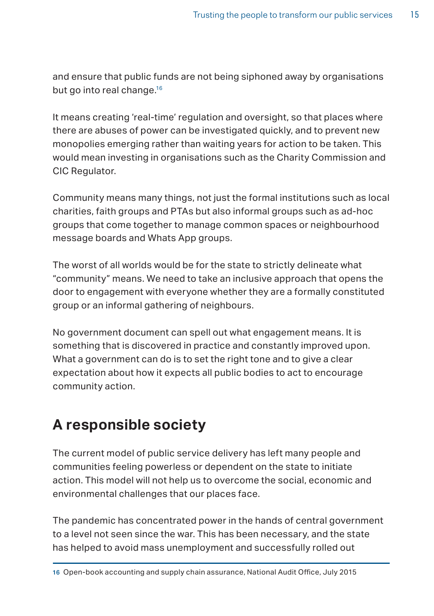<span id="page-14-0"></span>and ensure that public funds are not being siphoned away by organisations but go into real change.<sup>16</sup>

It means creating 'real-time' regulation and oversight, so that places where there are abuses of power can be investigated quickly, and to prevent new monopolies emerging rather than waiting years for action to be taken. This would mean investing in organisations such as the Charity Commission and CIC Regulator.

Community means many things, not just the formal institutions such as local charities, faith groups and PTAs but also informal groups such as ad-hoc groups that come together to manage common spaces or neighbourhood message boards and Whats App groups.

The worst of all worlds would be for the state to strictly delineate what "community" means. We need to take an inclusive approach that opens the door to engagement with everyone whether they are a formally constituted group or an informal gathering of neighbours.

No government document can spell out what engagement means. It is something that is discovered in practice and constantly improved upon. What a government can do is to set the right tone and to give a clear expectation about how it expects all public bodies to act to encourage community action.

## **A responsible society**

The current model of public service delivery has left many people and communities feeling powerless or dependent on the state to initiate action. This model will not help us to overcome the social, economic and environmental challenges that our places face.

The pandemic has concentrated power in the hands of central government to a level not seen since the war. This has been necessary, and the state has helped to avoid mass unemployment and successfully rolled out

<sup>16</sup> Open-book accounting and supply chain assurance, National Audit Office, July 2015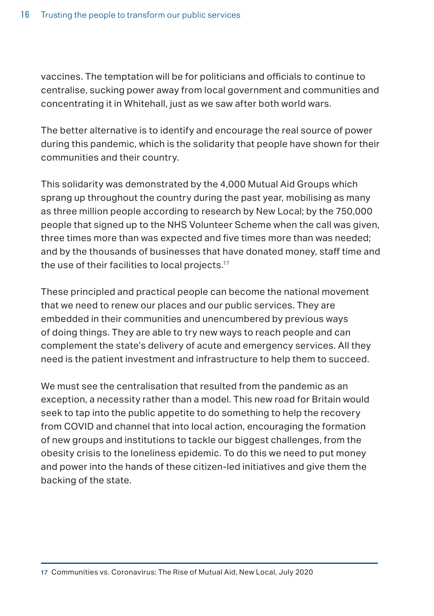vaccines. The temptation will be for politicians and officials to continue to centralise, sucking power away from local government and communities and concentrating it in Whitehall, just as we saw after both world wars.

The better alternative is to identify and encourage the real source of power during this pandemic, which is the solidarity that people have shown for their communities and their country.

This solidarity was demonstrated by the 4,000 Mutual Aid Groups which sprang up throughout the country during the past year, mobilising as many as three million people according to research by New Local; by the 750,000 people that signed up to the NHS Volunteer Scheme when the call was given, three times more than was expected and five times more than was needed; and by the thousands of businesses that have donated money, staff time and the use of their facilities to local projects.<sup>17</sup>

These principled and practical people can become the national movement that we need to renew our places and our public services. They are embedded in their communities and unencumbered by previous ways of doing things. They are able to try new ways to reach people and can complement the state's delivery of acute and emergency services. All they need is the patient investment and infrastructure to help them to succeed.

We must see the centralisation that resulted from the pandemic as an exception, a necessity rather than a model. This new road for Britain would seek to tap into the public appetite to do something to help the recovery from COVID and channel that into local action, encouraging the formation of new groups and institutions to tackle our biggest challenges, from the obesity crisis to the loneliness epidemic. To do this we need to put money and power into the hands of these citizen-led initiatives and give them the backing of the state.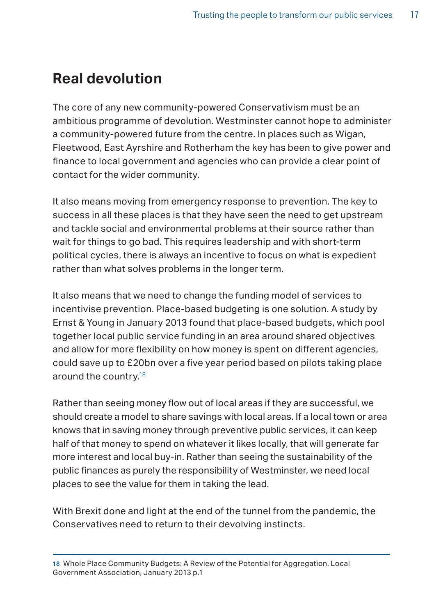## <span id="page-16-0"></span>**Real devolution**

The core of any new community-powered Conservativism must be an ambitious programme of devolution. Westminster cannot hope to administer a community-powered future from the centre. In places such as Wigan, Fleetwood, East Ayrshire and Rotherham the key has been to give power and finance to local government and agencies who can provide a clear point of contact for the wider community.

It also means moving from emergency response to prevention. The key to success in all these places is that they have seen the need to get upstream and tackle social and environmental problems at their source rather than wait for things to go bad. This requires leadership and with short-term political cycles, there is always an incentive to focus on what is expedient rather than what solves problems in the longer term.

It also means that we need to change the funding model of services to incentivise prevention. Place-based budgeting is one solution. A study by Ernst & Young in January 2013 found that place-based budgets, which pool together local public service funding in an area around shared objectives and allow for more flexibility on how money is spent on different agencies, could save up to £20bn over a five year period based on pilots taking place around the country.18

Rather than seeing money flow out of local areas if they are successful, we should create a model to share savings with local areas. If a local town or area knows that in saving money through preventive public services, it can keep half of that money to spend on whatever it likes locally, that will generate far more interest and local buy-in. Rather than seeing the sustainability of the public finances as purely the responsibility of Westminster, we need local places to see the value for them in taking the lead.

With Brexit done and light at the end of the tunnel from the pandemic, the Conservatives need to return to their devolving instincts.

18 Whole Place Community Budgets: A Review of the Potential for Aggregation, Local Government Association, January 2013 p.1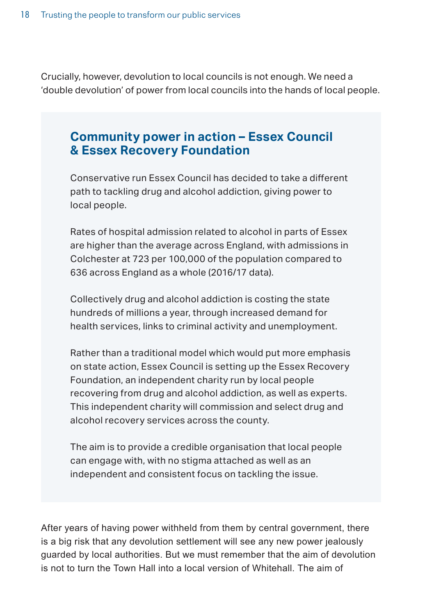Crucially, however, devolution to local councils is not enough. We need a 'double devolution' of power from local councils into the hands of local people.

#### **Community power in action – Essex Council & Essex Recovery Foundation**

Conservative run Essex Council has decided to take a different path to tackling drug and alcohol addiction, giving power to local people.

Rates of hospital admission related to alcohol in parts of Essex are higher than the average across England, with admissions in Colchester at 723 per 100,000 of the population compared to 636 across England as a whole (2016/17 data).

Collectively drug and alcohol addiction is costing the state hundreds of millions a year, through increased demand for health services, links to criminal activity and unemployment.

Rather than a traditional model which would put more emphasis on state action, Essex Council is setting up the Essex Recovery Foundation, an independent charity run by local people recovering from drug and alcohol addiction, as well as experts. This independent charity will commission and select drug and alcohol recovery services across the county.

The aim is to provide a credible organisation that local people can engage with, with no stigma attached as well as an independent and consistent focus on tackling the issue.

After years of having power withheld from them by central government, there is a big risk that any devolution settlement will see any new power jealously guarded by local authorities. But we must remember that the aim of devolution is not to turn the Town Hall into a local version of Whitehall. The aim of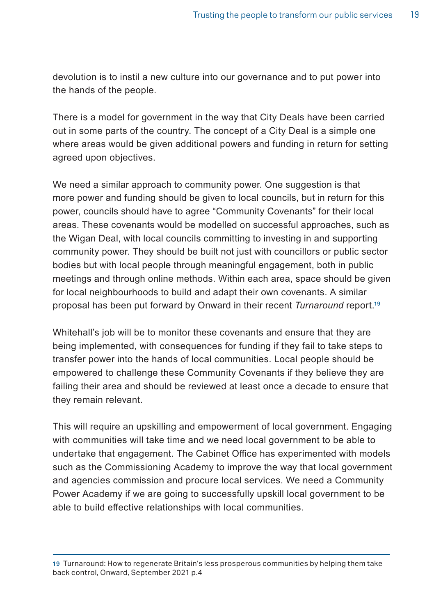devolution is to instil a new culture into our governance and to put power into the hands of the people.

There is a model for government in the way that City Deals have been carried out in some parts of the country. The concept of a City Deal is a simple one where areas would be given additional powers and funding in return for setting agreed upon objectives.

We need a similar approach to community power. One suggestion is that more power and funding should be given to local councils, but in return for this power, councils should have to agree "Community Covenants" for their local areas. These covenants would be modelled on successful approaches, such as the Wigan Deal, with local councils committing to investing in and supporting community power. They should be built not just with councillors or public sector bodies but with local people through meaningful engagement, both in public meetings and through online methods. Within each area, space should be given for local neighbourhoods to build and adapt their own covenants. A similar proposal has been put forward by Onward in their recent *Turnaround* report.<sup>19</sup>

Whitehall's job will be to monitor these covenants and ensure that they are being implemented, with consequences for funding if they fail to take steps to transfer power into the hands of local communities. Local people should be empowered to challenge these Community Covenants if they believe they are failing their area and should be reviewed at least once a decade to ensure that they remain relevant.

This will require an upskilling and empowerment of local government. Engaging with communities will take time and we need local government to be able to undertake that engagement. The Cabinet Office has experimented with models such as the Commissioning Academy to improve the way that local government and agencies commission and procure local services. We need a Community Power Academy if we are going to successfully upskill local government to be able to build effective relationships with local communities.

<sup>19</sup> Turnaround: How to regenerate Britain's less prosperous communities by helping them take back control, Onward, September 2021 p.4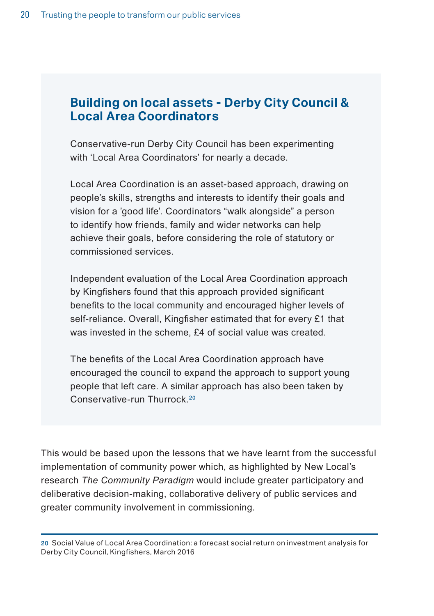#### **Building on local assets - Derby City Council & Local Area Coordinators**

Conservative-run Derby City Council has been experimenting with 'Local Area Coordinators' for nearly a decade.

Local Area Coordination is an asset-based approach, drawing on people's skills, strengths and interests to identify their goals and vision for a 'good life'. Coordinators "walk alongside" a person to identify how friends, family and wider networks can help achieve their goals, before considering the role of statutory or commissioned services.

Independent evaluation of the Local Area Coordination approach by Kingfishers found that this approach provided significant benefits to the local community and encouraged higher levels of self-reliance. Overall, Kingfisher estimated that for every £1 that was invested in the scheme, £4 of social value was created.

The benefits of the Local Area Coordination approach have encouraged the council to expand the approach to support young people that left care. A similar approach has also been taken by Conservative-run Thurrock<sup>20</sup>

This would be based upon the lessons that we have learnt from the successful implementation of community power which, as highlighted by New Local's research *The Community Paradigm* would include greater participatory and deliberative decision-making, collaborative delivery of public services and greater community involvement in commissioning.

20 Social Value of Local Area Coordination: a forecast social return on investment analysis for Derby City Council, Kingfishers, March 2016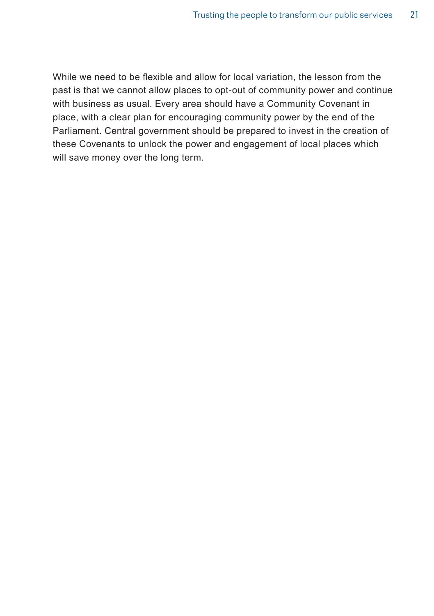While we need to be flexible and allow for local variation, the lesson from the past is that we cannot allow places to opt-out of community power and continue with business as usual. Every area should have a Community Covenant in place, with a clear plan for encouraging community power by the end of the Parliament. Central government should be prepared to invest in the creation of these Covenants to unlock the power and engagement of local places which will save money over the long term.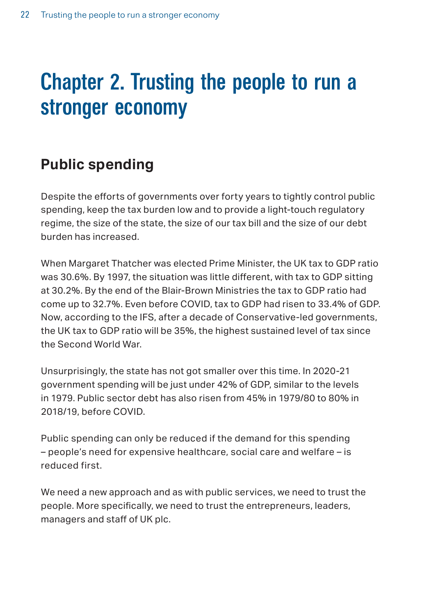## <span id="page-21-0"></span>Chapter 2. Trusting the people to run a stronger economy

## **Public spending**

Despite the efforts of governments over forty years to tightly control public spending, keep the tax burden low and to provide a light-touch regulatory regime, the size of the state, the size of our tax bill and the size of our debt burden has increased.

When Margaret Thatcher was elected Prime Minister, the UK tax to GDP ratio was 30.6%. By 1997, the situation was little different, with tax to GDP sitting at 30.2%. By the end of the Blair-Brown Ministries the tax to GDP ratio had come up to 32.7%. Even before COVID, tax to GDP had risen to 33.4% of GDP. Now, according to the IFS, after a decade of Conservative-led governments, the UK tax to GDP ratio will be 35%, the highest sustained level of tax since the Second World War.

Unsurprisingly, the state has not got smaller over this time. In 2020-21 government spending will be just under 42% of GDP, similar to the levels in 1979. Public sector debt has also risen from 45% in 1979/80 to 80% in 2018/19, before COVID.

Public spending can only be reduced if the demand for this spending – people's need for expensive healthcare, social care and welfare – is reduced first.

We need a new approach and as with public services, we need to trust the people. More specifically, we need to trust the entrepreneurs, leaders, managers and staff of UK plc.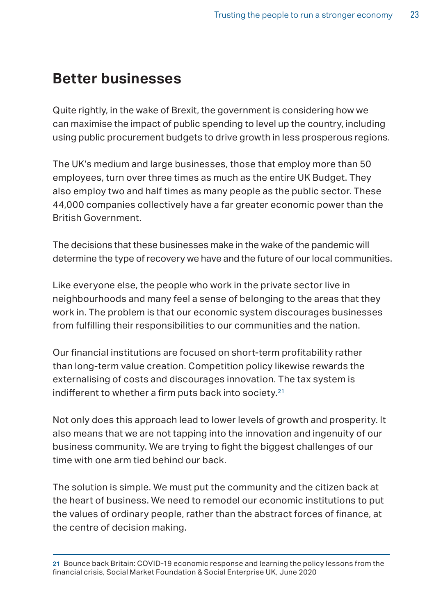### <span id="page-22-0"></span>**Better businesses**

Quite rightly, in the wake of Brexit, the government is considering how we can maximise the impact of public spending to level up the country, including using public procurement budgets to drive growth in less prosperous regions.

The UK's medium and large businesses, those that employ more than 50 employees, turn over three times as much as the entire UK Budget. They also employ two and half times as many people as the public sector. These 44,000 companies collectively have a far greater economic power than the British Government.

The decisions that these businesses make in the wake of the pandemic will determine the type of recovery we have and the future of our local communities.

Like everyone else, the people who work in the private sector live in neighbourhoods and many feel a sense of belonging to the areas that they work in. The problem is that our economic system discourages businesses from fulfilling their responsibilities to our communities and the nation.

Our financial institutions are focused on short-term profitability rather than long-term value creation. Competition policy likewise rewards the externalising of costs and discourages innovation. The tax system is indifferent to whether a firm puts back into society.<sup>21</sup>

Not only does this approach lead to lower levels of growth and prosperity. It also means that we are not tapping into the innovation and ingenuity of our business community. We are trying to fight the biggest challenges of our time with one arm tied behind our back.

The solution is simple. We must put the community and the citizen back at the heart of business. We need to remodel our economic institutions to put the values of ordinary people, rather than the abstract forces of finance, at the centre of decision making.

21 Bounce back Britain: COVID-19 economic response and learning the policy lessons from the financial crisis, Social Market Foundation & Social Enterprise UK, June 2020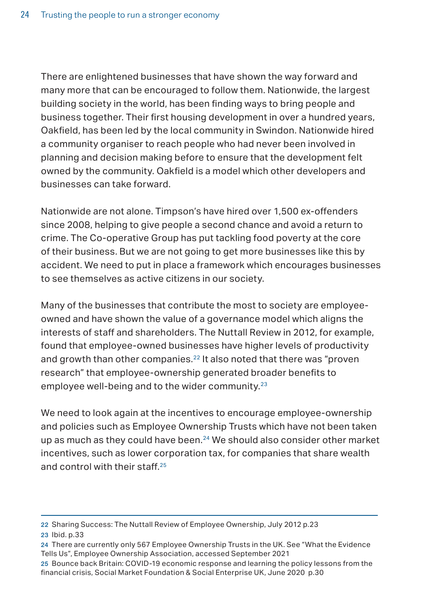There are enlightened businesses that have shown the way forward and many more that can be encouraged to follow them. Nationwide, the largest building society in the world, has been finding ways to bring people and business together. Their first housing development in over a hundred years, Oakfield, has been led by the local community in Swindon. Nationwide hired a community organiser to reach people who had never been involved in planning and decision making before to ensure that the development felt owned by the community. Oakfield is a model which other developers and businesses can take forward.

Nationwide are not alone. Timpson's have hired over 1,500 ex-offenders since 2008, helping to give people a second chance and avoid a return to crime. The Co-operative Group has put tackling food poverty at the core of their business. But we are not going to get more businesses like this by accident. We need to put in place a framework which encourages businesses to see themselves as active citizens in our society.

Many of the businesses that contribute the most to society are employeeowned and have shown the value of a governance model which aligns the interests of staff and shareholders. The Nuttall Review in 2012, for example, found that employee-owned businesses have higher levels of productivity and growth than other companies.<sup>22</sup> It also noted that there was "proven research" that employee-ownership generated broader benefits to employee well-being and to the wider community.<sup>23</sup>

We need to look again at the incentives to encourage employee-ownership and policies such as Employee Ownership Trusts which have not been taken up as much as they could have been.24 We should also consider other market incentives, such as lower corporation tax, for companies that share wealth and control with their staff.<sup>25</sup>

<sup>22</sup> Sharing Success: The Nuttall Review of Employee Ownership, July 2012 p.23 23 Ibid. p.33

<sup>24</sup> There are currently only 567 Employee Ownership Trusts in the UK. See "What the Evidence Tells Us", Employee Ownership Association, accessed September 2021

<sup>25</sup> Bounce back Britain: COVID-19 economic response and learning the policy lessons from the financial crisis, Social Market Foundation & Social Enterprise UK, June 2020 p.30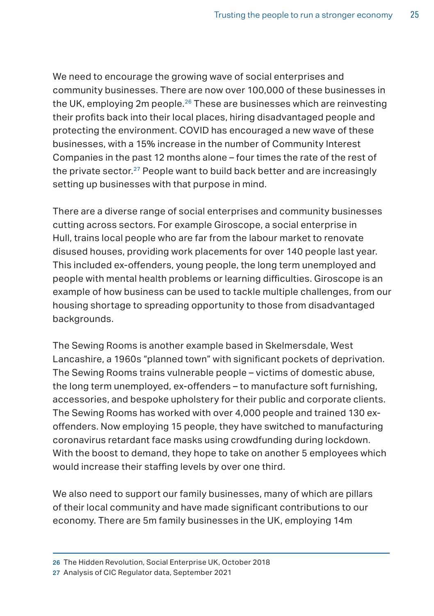We need to encourage the growing wave of social enterprises and community businesses. There are now over 100,000 of these businesses in the UK, employing 2m people.26 These are businesses which are reinvesting their profits back into their local places, hiring disadvantaged people and protecting the environment. COVID has encouraged a new wave of these businesses, with a 15% increase in the number of Community Interest Companies in the past 12 months alone – four times the rate of the rest of the private sector.<sup>27</sup> People want to build back better and are increasingly setting up businesses with that purpose in mind.

There are a diverse range of social enterprises and community businesses cutting across sectors. For example Giroscope, a social enterprise in Hull, trains local people who are far from the labour market to renovate disused houses, providing work placements for over 140 people last year. This included ex-offenders, young people, the long term unemployed and people with mental health problems or learning difficulties. Giroscope is an example of how business can be used to tackle multiple challenges, from our housing shortage to spreading opportunity to those from disadvantaged backgrounds.

The Sewing Rooms is another example based in Skelmersdale, West Lancashire, a 1960s "planned town" with significant pockets of deprivation. The Sewing Rooms trains vulnerable people – victims of domestic abuse, the long term unemployed, ex-offenders – to manufacture soft furnishing, accessories, and bespoke upholstery for their public and corporate clients. The Sewing Rooms has worked with over 4,000 people and trained 130 exoffenders. Now employing 15 people, they have switched to manufacturing coronavirus retardant face masks using crowdfunding during lockdown. With the boost to demand, they hope to take on another 5 employees which would increase their staffing levels by over one third.

We also need to support our family businesses, many of which are pillars of their local community and have made significant contributions to our economy. There are 5m family businesses in the UK, employing 14m

27 Analysis of CIC Regulator data, September 2021

<sup>26</sup> The Hidden Revolution, Social Enterprise UK, October 2018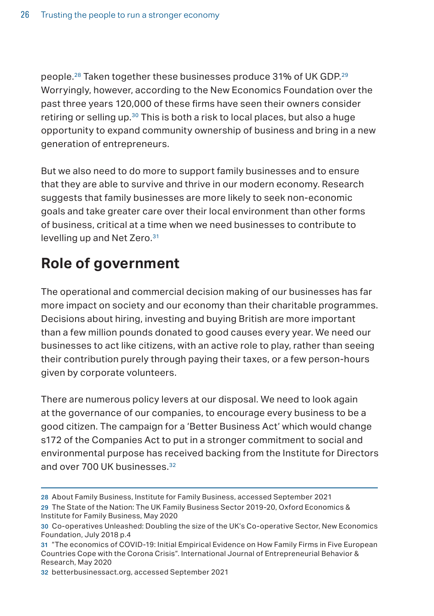<span id="page-25-0"></span>people.28 Taken together these businesses produce 31% of UK GDP.29 Worryingly, however, according to the New Economics Foundation over the past three years 120,000 of these firms have seen their owners consider retiring or selling up.<sup>30</sup> This is both a risk to local places, but also a huge opportunity to expand community ownership of business and bring in a new generation of entrepreneurs.

But we also need to do more to support family businesses and to ensure that they are able to survive and thrive in our modern economy. Research suggests that family businesses are more likely to seek non-economic goals and take greater care over their local environment than other forms of business, critical at a time when we need businesses to contribute to levelling up and Net Zero.31

## **Role of government**

The operational and commercial decision making of our businesses has far more impact on society and our economy than their charitable programmes. Decisions about hiring, investing and buying British are more important than a few million pounds donated to good causes every year. We need our businesses to act like citizens, with an active role to play, rather than seeing their contribution purely through paying their taxes, or a few person-hours given by corporate volunteers.

There are numerous policy levers at our disposal. We need to look again at the governance of our companies, to encourage every business to be a good citizen. The campaign for a 'Better Business Act' which would change s172 of the Companies Act to put in a stronger commitment to social and environmental purpose has received backing from the Institute for Directors and over 700 UK businesses.32

<sup>28</sup> About Family Business, Institute for Family Business, accessed September 2021

<sup>29</sup> The State of the Nation: The UK Family Business Sector 2019-20, Oxford Economics & Institute for Family Business, May 2020

<sup>30</sup> Co-operatives Unleashed: Doubling the size of the UK's Co-operative Sector, New Economics Foundation, July 2018 p.4

<sup>31</sup> "The economics of COVID-19: Initial Empirical Evidence on How Family Firms in Five European Countries Cope with the Corona Crisis". International Journal of Entrepreneurial Behavior & Research, May 2020

<sup>32</sup> betterbusinessact.org, accessed September 2021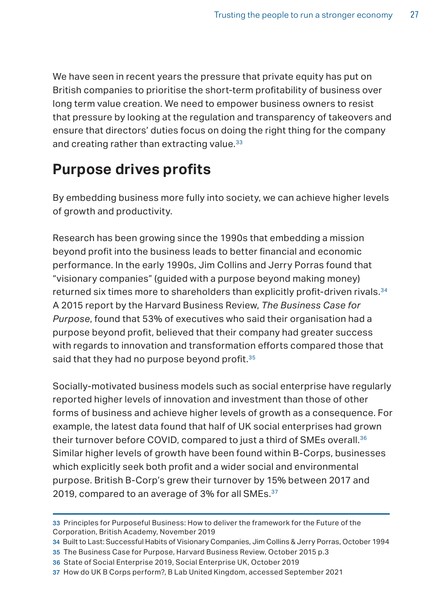<span id="page-26-0"></span>We have seen in recent years the pressure that private equity has put on British companies to prioritise the short-term profitability of business over long term value creation. We need to empower business owners to resist that pressure by looking at the regulation and transparency of takeovers and ensure that directors' duties focus on doing the right thing for the company and creating rather than extracting value.<sup>33</sup>

## **Purpose drives profits**

By embedding business more fully into society, we can achieve higher levels of growth and productivity.

Research has been growing since the 1990s that embedding a mission beyond profit into the business leads to better financial and economic performance. In the early 1990s, Jim Collins and Jerry Porras found that "visionary companies" (guided with a purpose beyond making money) returned six times more to shareholders than explicitly profit-driven rivals.<sup>34</sup> A 2015 report by the Harvard Business Review, *The Business Case for Purpose*, found that 53% of executives who said their organisation had a purpose beyond profit, believed that their company had greater success with regards to innovation and transformation efforts compared those that said that they had no purpose beyond profit.<sup>35</sup>

Socially-motivated business models such as social enterprise have regularly reported higher levels of innovation and investment than those of other forms of business and achieve higher levels of growth as a consequence. For example, the latest data found that half of UK social enterprises had grown their turnover before COVID, compared to just a third of SMEs overall.<sup>36</sup> Similar higher levels of growth have been found within B-Corps, businesses which explicitly seek both profit and a wider social and environmental purpose. British B-Corp's grew their turnover by 15% between 2017 and 2019, compared to an average of 3% for all SMEs.<sup>37</sup>

<sup>33</sup> Principles for Purposeful Business: How to deliver the framework for the Future of the Corporation, British Academy, November 2019

<sup>34</sup> Built to Last: Successful Habits of Visionary Companies, Jim Collins & Jerry Porras, October 1994

<sup>35</sup> The Business Case for Purpose, Harvard Business Review, October 2015 p.3

<sup>36</sup> State of Social Enterprise 2019, Social Enterprise UK, October 2019

<sup>37</sup> How do UK B Corps perform?, B Lab United Kingdom, accessed September 2021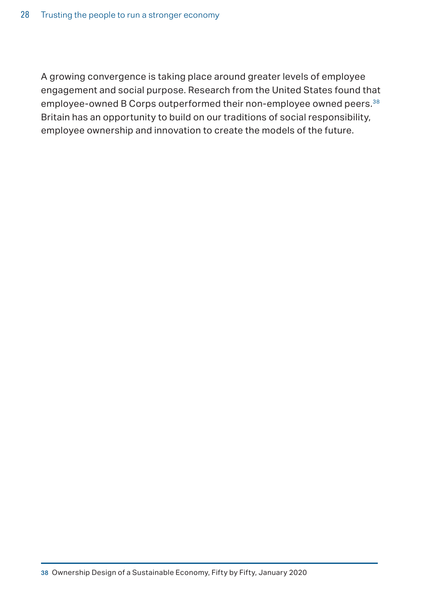A growing convergence is taking place around greater levels of employee engagement and social purpose. Research from the United States found that employee-owned B Corps outperformed their non-employee owned peers.<sup>38</sup> Britain has an opportunity to build on our traditions of social responsibility, employee ownership and innovation to create the models of the future.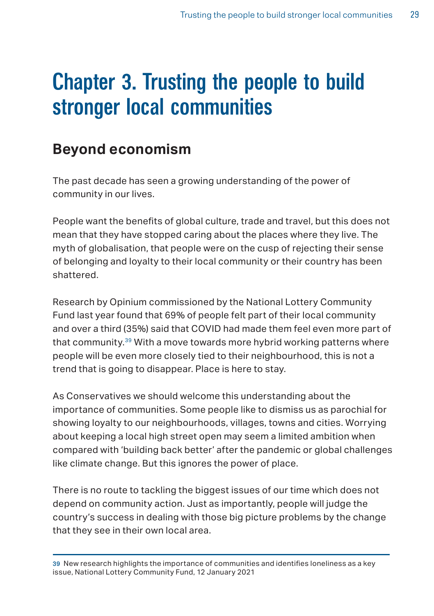## <span id="page-28-0"></span>Chapter 3. Trusting the people to build stronger local communities

## **Beyond economism**

The past decade has seen a growing understanding of the power of community in our lives.

People want the benefits of global culture, trade and travel, but this does not mean that they have stopped caring about the places where they live. The myth of globalisation, that people were on the cusp of rejecting their sense of belonging and loyalty to their local community or their country has been shattered.

Research by Opinium commissioned by the National Lottery Community Fund last year found that 69% of people felt part of their local community and over a third (35%) said that COVID had made them feel even more part of that community.39 With a move towards more hybrid working patterns where people will be even more closely tied to their neighbourhood, this is not a trend that is going to disappear. Place is here to stay.

As Conservatives we should welcome this understanding about the importance of communities. Some people like to dismiss us as parochial for showing loyalty to our neighbourhoods, villages, towns and cities. Worrying about keeping a local high street open may seem a limited ambition when compared with 'building back better' after the pandemic or global challenges like climate change. But this ignores the power of place.

There is no route to tackling the biggest issues of our time which does not depend on community action. Just as importantly, people will judge the country's success in dealing with those big picture problems by the change that they see in their own local area.

39 New research highlights the importance of communities and identifies loneliness as a key issue, National Lottery Community Fund, 12 January 2021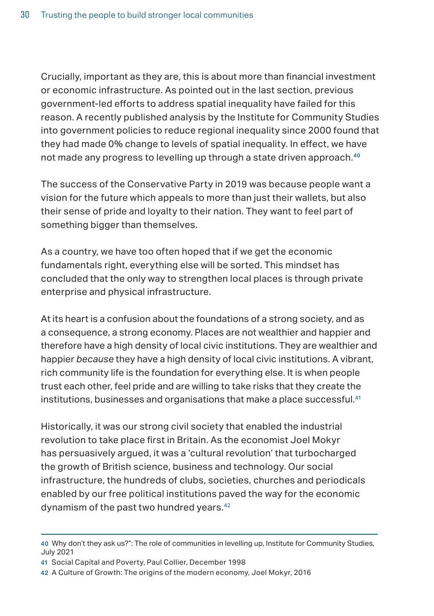Crucially, important as they are, this is about more than financial investment or economic infrastructure. As pointed out in the last section, previous government-led efforts to address spatial inequality have failed for this reason. A recently published analysis by the Institute for Community Studies into government policies to reduce regional inequality since 2000 found that they had made 0% change to levels of spatial inequality. In effect, we have not made any progress to levelling up through a state driven approach.<sup>40</sup>

The success of the Conservative Party in 2019 was because people want a vision for the future which appeals to more than just their wallets, but also their sense of pride and loyalty to their nation. They want to feel part of something bigger than themselves.

As a country, we have too often hoped that if we get the economic fundamentals right, everything else will be sorted. This mindset has concluded that the only way to strengthen local places is through private enterprise and physical infrastructure.

At its heart is a confusion about the foundations of a strong society, and as a consequence, a strong economy. Places are not wealthier and happier and therefore have a high density of local civic institutions. They are wealthier and happier *because* they have a high density of local civic institutions. A vibrant, rich community life is the foundation for everything else. It is when people trust each other, feel pride and are willing to take risks that they create the institutions, businesses and organisations that make a place successful.<sup>41</sup>

Historically, it was our strong civil society that enabled the industrial revolution to take place first in Britain. As the economist Joel Mokyr has persuasively argued, it was a 'cultural revolution' that turbocharged the growth of British science, business and technology. Our social infrastructure, the hundreds of clubs, societies, churches and periodicals enabled by our free political institutions paved the way for the economic dynamism of the past two hundred years.42

<sup>40</sup> Why don't they ask us?": The role of communities in levelling up, Institute for Community Studies, July 2021

<sup>41</sup> Social Capital and Poverty, Paul Collier, December 1998

<sup>42</sup> A Culture of Growth: The origins of the modern economy, Joel Mokyr, 2016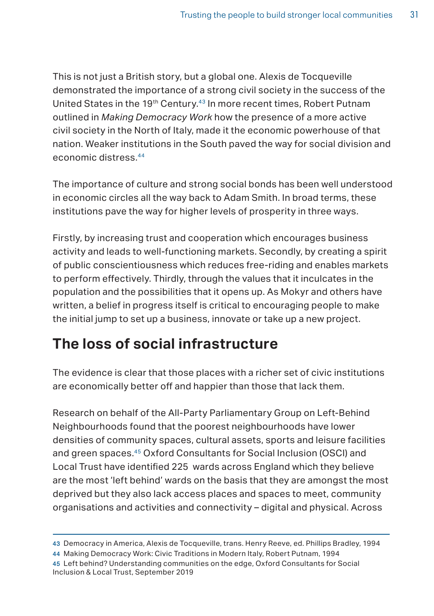<span id="page-30-0"></span>This is not just a British story, but a global one. Alexis de Tocqueville demonstrated the importance of a strong civil society in the success of the United States in the 19th Century.43 In more recent times, Robert Putnam outlined in *Making Democracy Work* how the presence of a more active civil society in the North of Italy, made it the economic powerhouse of that nation. Weaker institutions in the South paved the way for social division and economic distress.44

The importance of culture and strong social bonds has been well understood in economic circles all the way back to Adam Smith. In broad terms, these institutions pave the way for higher levels of prosperity in three ways.

Firstly, by increasing trust and cooperation which encourages business activity and leads to well-functioning markets. Secondly, by creating a spirit of public conscientiousness which reduces free-riding and enables markets to perform effectively. Thirdly, through the values that it inculcates in the population and the possibilities that it opens up. As Mokyr and others have written, a belief in progress itself is critical to encouraging people to make the initial jump to set up a business, innovate or take up a new project.

## **The loss of social infrastructure**

The evidence is clear that those places with a richer set of civic institutions are economically better off and happier than those that lack them.

Research on behalf of the All-Party Parliamentary Group on Left-Behind Neighbourhoods found that the poorest neighbourhoods have lower densities of community spaces, cultural assets, sports and leisure facilities and green spaces.45 Oxford Consultants for Social Inclusion (OSCI) and Local Trust have identified 225 wards across England which they believe are the most 'left behind' wards on the basis that they are amongst the most deprived but they also lack access places and spaces to meet, community organisations and activities and connectivity – digital and physical. Across

44 Making Democracy Work: Civic Traditions in Modern Italy, Robert Putnam, 1994

<sup>43</sup> Democracy in America, Alexis de Tocqueville, trans. Henry Reeve, ed. Phillips Bradley, 1994

<sup>45</sup> Left behind? Understanding communities on the edge, Oxford Consultants for Social Inclusion & Local Trust, September 2019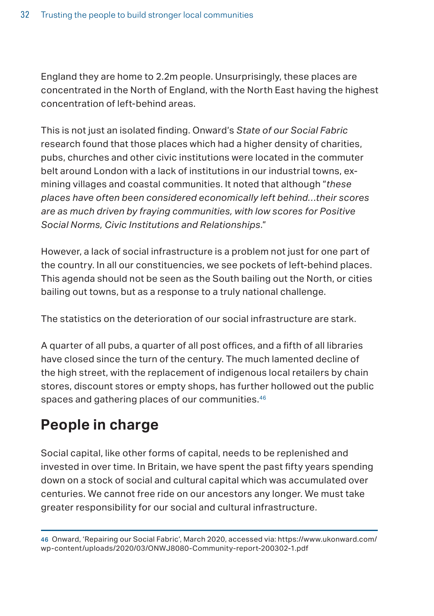<span id="page-31-0"></span>England they are home to 2.2m people. Unsurprisingly, these places are concentrated in the North of England, with the North East having the highest concentration of left-behind areas.

This is not just an isolated finding. Onward's *State of our Social Fabric*  research found that those places which had a higher density of charities, pubs, churches and other civic institutions were located in the commuter belt around London with a lack of institutions in our industrial towns, exmining villages and coastal communities. It noted that although "*these places have often been considered economically left behind…their scores are as much driven by fraying communities, with low scores for Positive Social Norms, Civic Institutions and Relationships*."

However, a lack of social infrastructure is a problem not just for one part of the country. In all our constituencies, we see pockets of left-behind places. This agenda should not be seen as the South bailing out the North, or cities bailing out towns, but as a response to a truly national challenge.

The statistics on the deterioration of our social infrastructure are stark.

A quarter of all pubs, a quarter of all post offices, and a fifth of all libraries have closed since the turn of the century. The much lamented decline of the high street, with the replacement of indigenous local retailers by chain stores, discount stores or empty shops, has further hollowed out the public spaces and gathering places of our communities.<sup>46</sup>

## **People in charge**

Social capital, like other forms of capital, needs to be replenished and invested in over time. In Britain, we have spent the past fifty years spending down on a stock of social and cultural capital which was accumulated over centuries. We cannot free ride on our ancestors any longer. We must take greater responsibility for our social and cultural infrastructure.

46 Onward, 'Repairing our Social Fabric', March 2020, accessed via: https://www.ukonward.com/ wp-content/uploads/2020/03/ONWJ8080-Community-report-200302-1.pdf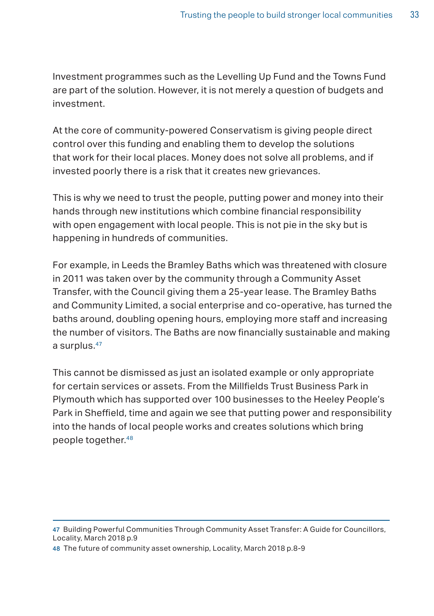Investment programmes such as the Levelling Up Fund and the Towns Fund are part of the solution. However, it is not merely a question of budgets and investment.

At the core of community-powered Conservatism is giving people direct control over this funding and enabling them to develop the solutions that work for their local places. Money does not solve all problems, and if invested poorly there is a risk that it creates new grievances.

This is why we need to trust the people, putting power and money into their hands through new institutions which combine financial responsibility with open engagement with local people. This is not pie in the sky but is happening in hundreds of communities.

For example, in Leeds the Bramley Baths which was threatened with closure in 2011 was taken over by the community through a Community Asset Transfer, with the Council giving them a 25-year lease. The Bramley Baths and Community Limited, a social enterprise and co-operative, has turned the baths around, doubling opening hours, employing more staff and increasing the number of visitors. The Baths are now financially sustainable and making a surplus.47

This cannot be dismissed as just an isolated example or only appropriate for certain services or assets. From the Millfields Trust Business Park in Plymouth which has supported over 100 businesses to the Heeley People's Park in Sheffield, time and again we see that putting power and responsibility into the hands of local people works and creates solutions which bring people together.48

<sup>47</sup> Building Powerful Communities Through Community Asset Transfer: A Guide for Councillors, Locality, March 2018 p.9

<sup>48</sup> The future of community asset ownership, Locality, March 2018 p.8-9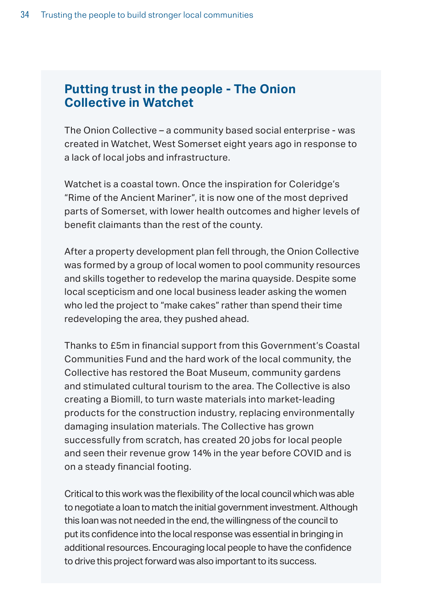#### **Putting trust in the people - The Onion Collective in Watchet**

The Onion Collective – a community based social enterprise - was created in Watchet, West Somerset eight years ago in response to a lack of local jobs and infrastructure.

Watchet is a coastal town. Once the inspiration for Coleridge's "Rime of the Ancient Mariner", it is now one of the most deprived parts of Somerset, with lower health outcomes and higher levels of benefit claimants than the rest of the county.

After a property development plan fell through, the Onion Collective was formed by a group of local women to pool community resources and skills together to redevelop the marina quayside. Despite some local scepticism and one local business leader asking the women who led the project to "make cakes" rather than spend their time redeveloping the area, they pushed ahead.

Thanks to £5m in financial support from this Government's Coastal Communities Fund and the hard work of the local community, the Collective has restored the Boat Museum, community gardens and stimulated cultural tourism to the area. The Collective is also creating a Biomill, to turn waste materials into market-leading products for the construction industry, replacing environmentally damaging insulation materials. The Collective has grown successfully from scratch, has created 20 jobs for local people and seen their revenue grow 14% in the year before COVID and is on a steady financial footing.

Critical to this work was the flexibility of the local council which was able to negotiate a loan to match the initial government investment. Although this loan was not needed in the end, the willingness of the council to put its confidence into the local response was essential in bringing in additional resources. Encouraging local people to have the confidence to drive this project forward was also important to its success.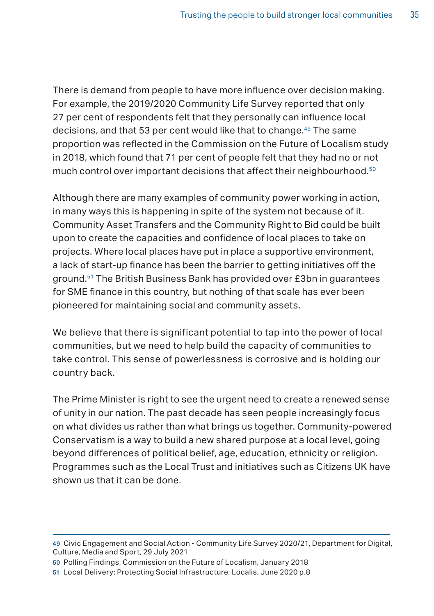There is demand from people to have more influence over decision making. For example, the 2019/2020 Community Life Survey reported that only 27 per cent of respondents felt that they personally can influence local decisions, and that 53 per cent would like that to change.<sup>49</sup> The same proportion was reflected in the Commission on the Future of Localism study in 2018, which found that 71 per cent of people felt that they had no or not much control over important decisions that affect their neighbourhood.<sup>50</sup>

Although there are many examples of community power working in action, in many ways this is happening in spite of the system not because of it. Community Asset Transfers and the Community Right to Bid could be built upon to create the capacities and confidence of local places to take on projects. Where local places have put in place a supportive environment, a lack of start-up finance has been the barrier to getting initiatives off the ground.51 The British Business Bank has provided over £3bn in guarantees for SME finance in this country, but nothing of that scale has ever been pioneered for maintaining social and community assets.

We believe that there is significant potential to tap into the power of local communities, but we need to help build the capacity of communities to take control. This sense of powerlessness is corrosive and is holding our country back.

The Prime Minister is right to see the urgent need to create a renewed sense of unity in our nation. The past decade has seen people increasingly focus on what divides us rather than what brings us together. Community-powered Conservatism is a way to build a new shared purpose at a local level, going beyond differences of political belief, age, education, ethnicity or religion. Programmes such as the Local Trust and initiatives such as Citizens UK have shown us that it can be done.

<sup>49</sup> Civic Engagement and Social Action - Community Life Survey 2020/21, Department for Digital, Culture, Media and Sport, 29 July 2021

<sup>50</sup> Polling Findings, Commission on the Future of Localism, January 2018

<sup>51</sup> Local Delivery: Protecting Social Infrastructure, Localis, June 2020 p.8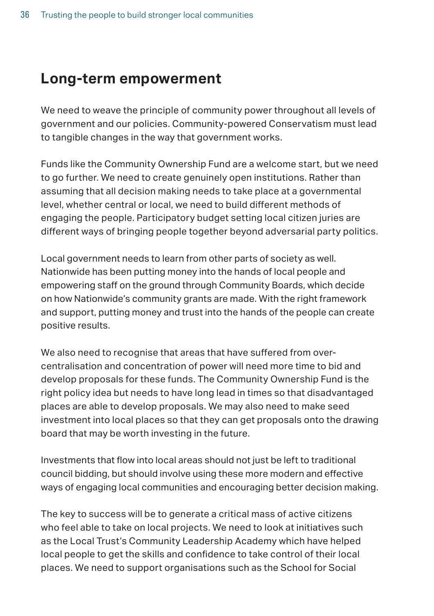#### <span id="page-35-0"></span>**Long-term empowerment**

We need to weave the principle of community power throughout all levels of government and our policies. Community-powered Conservatism must lead to tangible changes in the way that government works.

Funds like the Community Ownership Fund are a welcome start, but we need to go further. We need to create genuinely open institutions. Rather than assuming that all decision making needs to take place at a governmental level, whether central or local, we need to build different methods of engaging the people. Participatory budget setting local citizen juries are different ways of bringing people together beyond adversarial party politics.

Local government needs to learn from other parts of society as well. Nationwide has been putting money into the hands of local people and empowering staff on the ground through Community Boards, which decide on how Nationwide's community grants are made. With the right framework and support, putting money and trust into the hands of the people can create positive results.

We also need to recognise that areas that have suffered from overcentralisation and concentration of power will need more time to bid and develop proposals for these funds. The Community Ownership Fund is the right policy idea but needs to have long lead in times so that disadvantaged places are able to develop proposals. We may also need to make seed investment into local places so that they can get proposals onto the drawing board that may be worth investing in the future.

Investments that flow into local areas should not just be left to traditional council bidding, but should involve using these more modern and effective ways of engaging local communities and encouraging better decision making.

The key to success will be to generate a critical mass of active citizens who feel able to take on local projects. We need to look at initiatives such as the Local Trust's Community Leadership Academy which have helped local people to get the skills and confidence to take control of their local places. We need to support organisations such as the School for Social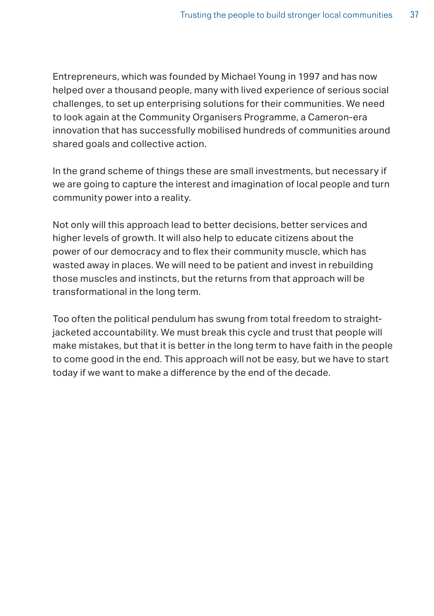Entrepreneurs, which was founded by Michael Young in 1997 and has now helped over a thousand people, many with lived experience of serious social challenges, to set up enterprising solutions for their communities. We need to look again at the Community Organisers Programme, a Cameron-era innovation that has successfully mobilised hundreds of communities around shared goals and collective action.

In the grand scheme of things these are small investments, but necessary if we are going to capture the interest and imagination of local people and turn community power into a reality.

Not only will this approach lead to better decisions, better services and higher levels of growth. It will also help to educate citizens about the power of our democracy and to flex their community muscle, which has wasted away in places. We will need to be patient and invest in rebuilding those muscles and instincts, but the returns from that approach will be transformational in the long term.

Too often the political pendulum has swung from total freedom to straightjacketed accountability. We must break this cycle and trust that people will make mistakes, but that it is better in the long term to have faith in the people to come good in the end. This approach will not be easy, but we have to start today if we want to make a difference by the end of the decade.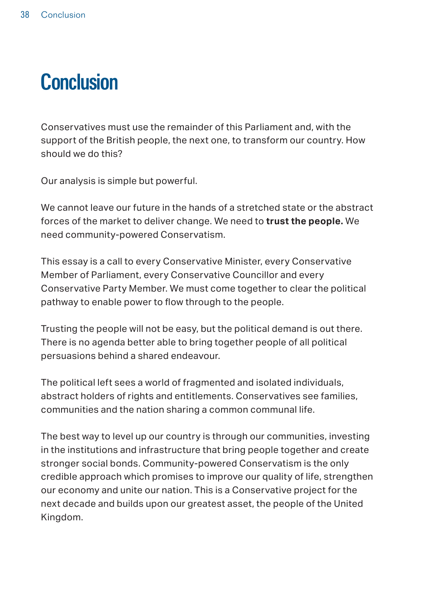## <span id="page-37-0"></span>**Conclusion**

Conservatives must use the remainder of this Parliament and, with the support of the British people, the next one, to transform our country. How should we do this?

Our analysis is simple but powerful.

We cannot leave our future in the hands of a stretched state or the abstract forces of the market to deliver change. We need to **trust the people.** We need community-powered Conservatism.

This essay is a call to every Conservative Minister, every Conservative Member of Parliament, every Conservative Councillor and every Conservative Party Member. We must come together to clear the political pathway to enable power to flow through to the people.

Trusting the people will not be easy, but the political demand is out there. There is no agenda better able to bring together people of all political persuasions behind a shared endeavour.

The political left sees a world of fragmented and isolated individuals, abstract holders of rights and entitlements. Conservatives see families, communities and the nation sharing a common communal life.

The best way to level up our country is through our communities, investing in the institutions and infrastructure that bring people together and create stronger social bonds. Community-powered Conservatism is the only credible approach which promises to improve our quality of life, strengthen our economy and unite our nation. This is a Conservative project for the next decade and builds upon our greatest asset, the people of the United Kingdom.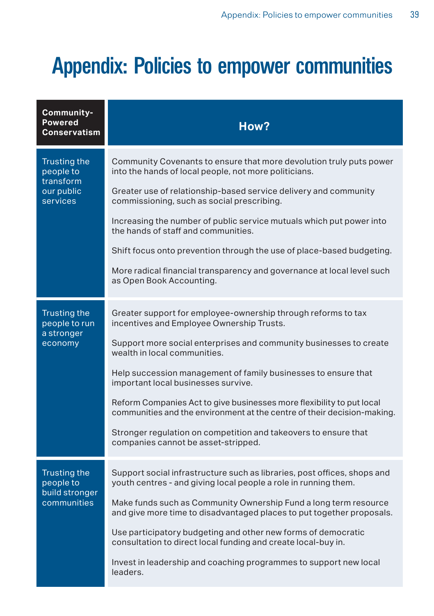## <span id="page-38-0"></span>Appendix: Policies to empower communities

| Community-<br><b>Powered</b><br><b>Conservatism</b>              | How?                                                                                                                                                                                                                                                                                                                                                                                                                                                                                                                                                                                    |
|------------------------------------------------------------------|-----------------------------------------------------------------------------------------------------------------------------------------------------------------------------------------------------------------------------------------------------------------------------------------------------------------------------------------------------------------------------------------------------------------------------------------------------------------------------------------------------------------------------------------------------------------------------------------|
| Trusting the<br>people to<br>transform<br>our public<br>services | Community Covenants to ensure that more devolution truly puts power<br>into the hands of local people, not more politicians.<br>Greater use of relationship-based service delivery and community<br>commissioning, such as social prescribing.<br>Increasing the number of public service mutuals which put power into<br>the hands of staff and communities.<br>Shift focus onto prevention through the use of place-based budgeting.<br>More radical financial transparency and governance at local level such<br>as Open Book Accounting.                                            |
| Trusting the<br>people to run<br>a stronger<br>economy           | Greater support for employee-ownership through reforms to tax<br>incentives and Employee Ownership Trusts.<br>Support more social enterprises and community businesses to create<br>wealth in local communities.<br>Help succession management of family businesses to ensure that<br>important local businesses survive.<br>Reform Companies Act to give businesses more flexibility to put local<br>communities and the environment at the centre of their decision-making.<br>Stronger regulation on competition and takeovers to ensure that<br>companies cannot be asset-stripped. |
| Trusting the<br>people to<br>build stronger<br>communities       | Support social infrastructure such as libraries, post offices, shops and<br>youth centres - and giving local people a role in running them.<br>Make funds such as Community Ownership Fund a long term resource<br>and give more time to disadvantaged places to put together proposals.<br>Use participatory budgeting and other new forms of democratic<br>consultation to direct local funding and create local-buy in.<br>Invest in leadership and coaching programmes to support new local<br>leaders.                                                                             |